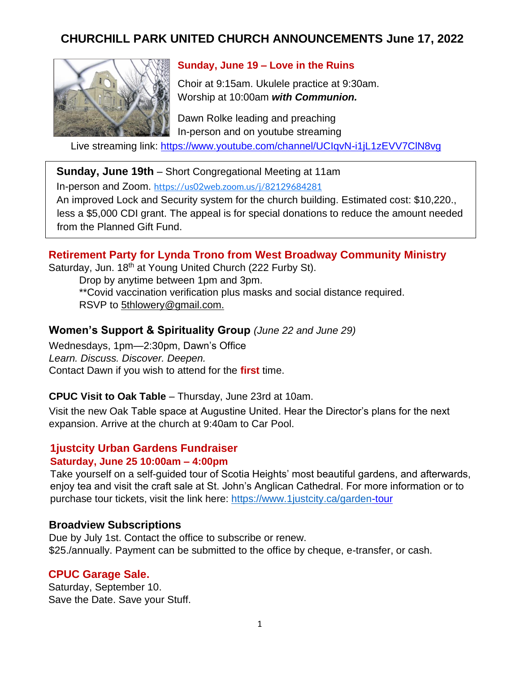# **CHURCHILL PARK UNITED CHURCH ANNOUNCEMENTS June 17, 2022**



### **Sunday, June 19 – Love in the Ruins**

Choir at 9:15am. Ukulele practice at 9:30am. Worship at 10:00am *with Communion.*

Dawn Rolke leading and preaching In-person and on youtube streaming

Live streaming link: [https://www.youtube.com/channel/UCIqvN-i1jL1zEVV7ClN8vg](https://www.youtube.com/channel/UCIqvN-i1jL1zEVV-7ClN8vg)

**Sunday, June 19th** – Short Congregational Meeting at 11am

In-person and Zoom. <https://us02web.zoom.us/j/82129684281>

An improved Lock and Security system for the church building. Estimated cost: \$10,220., less a \$5,000 CDI grant. The appeal is for special donations to reduce the amount needed from the Planned Gift Fund.

#### **Retirement Party for Lynda Trono from West Broadway Community Ministry**

Saturday, Jun. 18<sup>th</sup> at Young United Church (222 Furby St).

Drop by anytime between 1pm and 3pm. \*\*Covid vaccination verification plus masks and social distance required. RSVP to 5thlowery@gmail.com.

#### **Women's Support & Spirituality Group** *(June 22 and June 29)*

Wednesdays, 1pm—2:30pm, Dawn's Office *Learn. Discuss. Discover. Deepen.*  Contact Dawn if you wish to attend for the **first** time.

#### **CPUC Visit to Oak Table** – Thursday, June 23rd at 10am.

Visit the new Oak Table space at Augustine United. Hear the Director's plans for the next expansion. Arrive at the church at 9:40am to Car Pool.

#### **1justcity Urban Gardens Fundraiser**

#### **Saturday, June 25 10:00am – 4:00pm**

Take yourself on a self-guided tour of Scotia Heights' most beautiful gardens, and afterwards, enjoy tea and visit the craft sale at St. John's Anglican Cathedral. For more information or to purchase tour tickets, visit the link here:<https://www.1justcity.ca/garden>[-tour](https://www.1justcity.ca/garden-tour)

#### **Broadview Subscriptions**

Due by July 1st. Contact the office to subscribe or renew. \$25./annually. Payment can be submitted to the office by cheque, e-transfer, or cash.

#### **CPUC Garage Sale.**

Saturday, September 10. Save the Date. Save your Stuff.